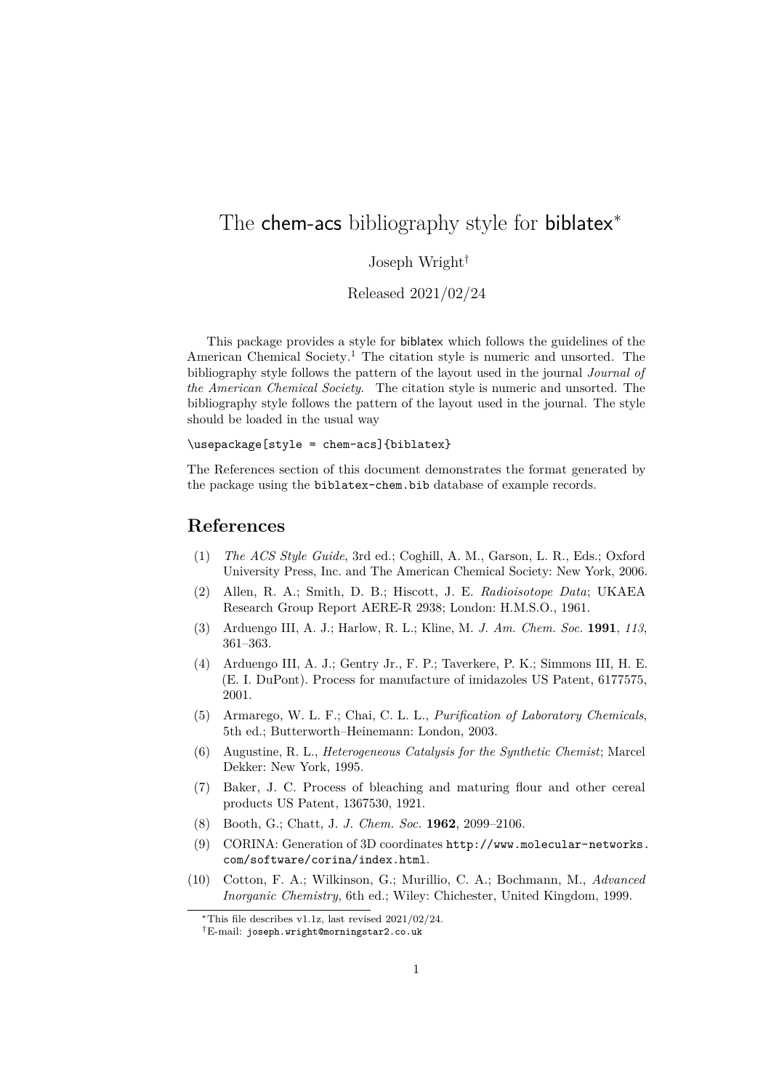## The chem-acs bibliography style for biblatex<sup>\*</sup>

## Joseph Wright†

Released 2021/02/24

This package provides a style for biblatex which follows the guidelines of the American Chemical Society.<sup>[1](#page-0-0)</sup> The citation style is numeric and unsorted. The bibliography style follows the pattern of the layout used in the journal *Journal of the American Chemical Society*. The citation style is numeric and unsorted. The bibliography style follows the pattern of the layout used in the journal. The style should be loaded in the usual way

## \usepackage[style = chem-acs]{biblatex}

The References section of this document demonstrates the format generated by the package using the biblatex-chem.bib database of example records.

## **References**

- <span id="page-0-0"></span>(1) *The ACS Style Guide*, 3rd ed.; Coghill, A. M., Garson, L. R., Eds.; Oxford University Press, Inc. and The American Chemical Society: New York, 2006.
- (2) Allen, R. A.; Smith, D. B.; Hiscott, J. E. *Radioisotope Data*; UKAEA Research Group Report AERE-R 2938; London: H.M.S.O., 1961.
- (3) Arduengo III, A. J.; Harlow, R. L.; Kline, M. *J. Am. Chem. Soc.* **1991**, *113*, 361–363.
- (4) Arduengo III, A. J.; Gentry Jr., F. P.; Taverkere, P. K.; Simmons III, H. E. (E. I. DuPont). Process for manufacture of imidazoles US Patent, 6177575, 2001.
- (5) Armarego, W. L. F.; Chai, C. L. L., *Purification of Laboratory Chemicals*, 5th ed.; Butterworth–Heinemann: London, 2003.
- (6) Augustine, R. L., *Heterogeneous Catalysis for the Synthetic Chemist*; Marcel Dekker: New York, 1995.
- (7) Baker, J. C. Process of bleaching and maturing flour and other cereal products US Patent, 1367530, 1921.
- (8) Booth, G.; Chatt, J. *J. Chem. Soc.* **1962**, 2099–2106.
- (9) CORINA: Generation of 3D coordinates [http://www.molecular-networks.](http://www.molecular-networks.com/software/corina/index.html) [com/software/corina/index.html](http://www.molecular-networks.com/software/corina/index.html).
- (10) Cotton, F. A.; Wilkinson, G.; Murillio, C. A.; Bochmann, M., *Advanced Inorganic Chemistry*, 6th ed.; Wiley: Chichester, United Kingdom, 1999.

<sup>∗</sup>This file describes v1.1z, last revised 2021/02/24.

<sup>†</sup>E-mail: [joseph.wright@morningstar2.co.uk](mailto:joseph.wright@morningstar2.co.uk)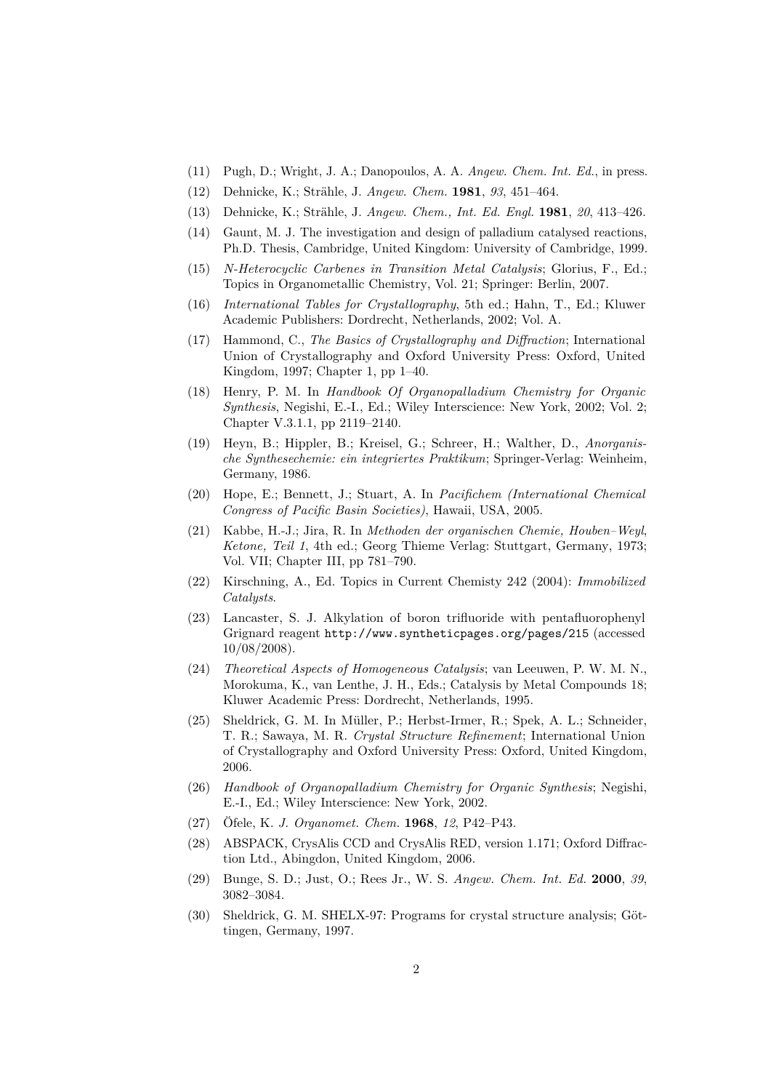- (11) Pugh, D.; Wright, J. A.; Danopoulos, A. A. *Angew. Chem. Int. Ed.*, in press.
- (12) Dehnicke, K.; Strähle, J. *Angew. Chem.* **1981**, *93*, 451–464.
- (13) Dehnicke, K.; Strähle, J. *Angew. Chem., Int. Ed. Engl.* **1981**, *20*, 413–426.
- (14) Gaunt, M. J. The investigation and design of palladium catalysed reactions, Ph.D. Thesis, Cambridge, United Kingdom: University of Cambridge, 1999.
- (15) *N-Heterocyclic Carbenes in Transition Metal Catalysis*; Glorius, F., Ed.; Topics in Organometallic Chemistry, Vol. 21; Springer: Berlin, 2007.
- (16) *International Tables for Crystallography*, 5th ed.; Hahn, T., Ed.; Kluwer Academic Publishers: Dordrecht, Netherlands, 2002; Vol. A.
- (17) Hammond, C., *The Basics of Crystallography and Diffraction*; International Union of Crystallography and Oxford University Press: Oxford, United Kingdom, 1997; Chapter 1, pp 1–40.
- (18) Henry, P. M. In *Handbook Of Organopalladium Chemistry for Organic Synthesis*, Negishi, E.-I., Ed.; Wiley Interscience: New York, 2002; Vol. 2; Chapter V.3.1.1, pp 2119–2140.
- (19) Heyn, B.; Hippler, B.; Kreisel, G.; Schreer, H.; Walther, D., *Anorganische Synthesechemie: ein integriertes Praktikum*; Springer-Verlag: Weinheim, Germany, 1986.
- (20) Hope, E.; Bennett, J.; Stuart, A. In *Pacifichem (International Chemical Congress of Pacific Basin Societies)*, Hawaii, USA, 2005.
- (21) Kabbe, H.-J.; Jira, R. In *Methoden der organischen Chemie, Houben–Weyl*, *Ketone, Teil 1*, 4th ed.; Georg Thieme Verlag: Stuttgart, Germany, 1973; Vol. VII; Chapter III, pp 781–790.
- (22) Kirschning, A., Ed. Topics in Current Chemisty 242 (2004): *Immobilized Catalysts*.
- (23) Lancaster, S. J. Alkylation of boron trifluoride with pentafluorophenyl Grignard reagent <http://www.syntheticpages.org/pages/215> (accessed 10/08/2008).
- (24) *Theoretical Aspects of Homogeneous Catalysis*; van Leeuwen, P. W. M. N., Morokuma, K., van Lenthe, J. H., Eds.; Catalysis by Metal Compounds 18; Kluwer Academic Press: Dordrecht, Netherlands, 1995.
- (25) Sheldrick, G. M. In Müller, P.; Herbst-Irmer, R.; Spek, A. L.; Schneider, T. R.; Sawaya, M. R. *Crystal Structure Refinement*; International Union of Crystallography and Oxford University Press: Oxford, United Kingdom, 2006.
- (26) *Handbook of Organopalladium Chemistry for Organic Synthesis*; Negishi, E.-I., Ed.; Wiley Interscience: New York, 2002.
- (27) Öfele, K. *J. Organomet. Chem.* **1968**, *12*, P42–P43.
- (28) ABSPACK, CrysAlis CCD and CrysAlis RED, version 1.171; Oxford Diffraction Ltd., Abingdon, United Kingdom, 2006.
- (29) Bunge, S. D.; Just, O.; Rees Jr., W. S. *Angew. Chem. Int. Ed.* **2000**, *39*, 3082–3084.
- (30) Sheldrick, G. M. SHELX-97: Programs for crystal structure analysis; Göttingen, Germany, 1997.